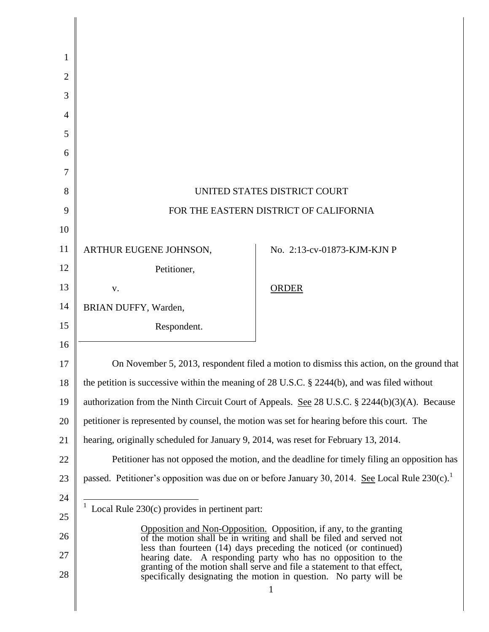| 1              |                                                                                                                                          |                                                                   |
|----------------|------------------------------------------------------------------------------------------------------------------------------------------|-------------------------------------------------------------------|
| $\overline{2}$ |                                                                                                                                          |                                                                   |
| 3              |                                                                                                                                          |                                                                   |
| $\overline{4}$ |                                                                                                                                          |                                                                   |
| 5              |                                                                                                                                          |                                                                   |
| 6              |                                                                                                                                          |                                                                   |
| 7              |                                                                                                                                          |                                                                   |
| 8              | UNITED STATES DISTRICT COURT                                                                                                             |                                                                   |
| 9              | FOR THE EASTERN DISTRICT OF CALIFORNIA                                                                                                   |                                                                   |
| 10             |                                                                                                                                          |                                                                   |
| 11             | ARTHUR EUGENE JOHNSON,                                                                                                                   | No. 2:13-cv-01873-KJM-KJN P                                       |
| 12             | Petitioner,                                                                                                                              |                                                                   |
| 13             | V.                                                                                                                                       | <b>ORDER</b>                                                      |
| 14             | BRIAN DUFFY, Warden,                                                                                                                     |                                                                   |
| 15             | Respondent.                                                                                                                              |                                                                   |
| 16             |                                                                                                                                          |                                                                   |
| 17             | On November 5, 2013, respondent filed a motion to dismiss this action, on the ground that                                                |                                                                   |
| 18             | the petition is successive within the meaning of 28 U.S.C. $\S$ 2244(b), and was filed without                                           |                                                                   |
| 19             | authorization from the Ninth Circuit Court of Appeals. See 28 U.S.C. § 2244(b)(3)(A). Because                                            |                                                                   |
| 20             | petitioner is represented by counsel, the motion was set for hearing before this court. The                                              |                                                                   |
| 21             | hearing, originally scheduled for January 9, 2014, was reset for February 13, 2014.                                                      |                                                                   |
| 22             | Petitioner has not opposed the motion, and the deadline for timely filing an opposition has                                              |                                                                   |
| 23             | passed. Petitioner's opposition was due on or before January 30, 2014. See Local Rule 230(c).                                            |                                                                   |
| 24             | <sup>1</sup> Local Rule 230(c) provides in pertinent part:                                                                               |                                                                   |
| 25             | Opposition and Non-Opposition. Opposition, if any, to the granting                                                                       |                                                                   |
| 26             | of the motion shall be in writing and shall be filed and served not<br>less than fourteen (14) days preceding the noticed (or continued) |                                                                   |
| 27             | hearing date. A responding party who has no opposition to the<br>granting of the motion shall serve and file a statement to that effect, |                                                                   |
| 28             |                                                                                                                                          | specifically designating the motion in question. No party will be |
|                |                                                                                                                                          |                                                                   |